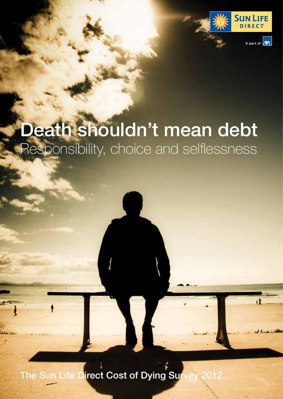

# Death shouldn't mean debt Responsibility, choice and selflessness

The Sun Life Direct Cost of Dying Survey 2012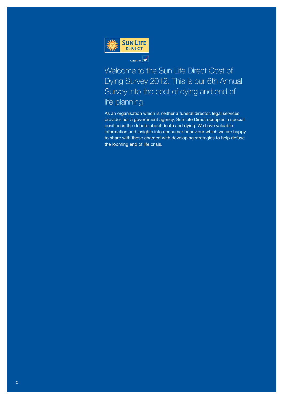

Welcome to the Sun Life Direct Cost of Dying Survey 2012. This is our 6th Annual Survey into the cost of dying and end of life planning.

As an organisation which is neither a funeral director, legal services provider nor a government agency, Sun Life Direct occupies a special position in the debate about death and dying. We have valuable information and insights into consumer behaviour which we are happy to share with those charged with developing strategies to help defuse the looming end of life crisis.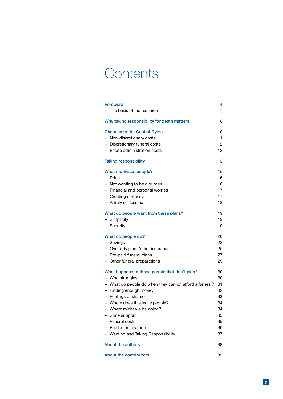# **Contents**

| <b>Foreword</b>                                        | 4  |
|--------------------------------------------------------|----|
| The basis of the research                              | 7  |
| Why taking responsibility for death matters            | 8  |
| <b>Changes to the Cost of Dying</b>                    | 10 |
| - Non-discretionary costs                              | 11 |
| - Discretionary funeral costs                          | 12 |
| - Estate administration costs                          | 12 |
| <b>Taking responsibility</b>                           | 13 |
| What motivates people?                                 | 15 |
| - Pride                                                | 15 |
| - Not wanting to be a burden                           | 16 |
| - Financial and personal worries                       | 17 |
| - Creating certainty                                   | 17 |
| - A truly selfless act                                 | 18 |
| What do people want from these plans?                  | 19 |
| - Simplicity                                           | 19 |
| - Security                                             | 19 |
| What do people do?                                     | 20 |
| - Savings                                              | 22 |
| - Over 50s plans/other insurance                       | 25 |
| - Pre-paid funeral plans                               | 27 |
| - Other funeral preparations                           | 29 |
| What happens to those people that don't plan?          | 30 |
| - Who struggles                                        | 30 |
| - What do people do when they cannot afford a funeral? | 31 |
| - Finding enough money                                 | 32 |
| - Feelings of shame                                    | 33 |
| - Where does this leave people?                        | 34 |
| - Where might we be going?                             | 34 |
| - State support                                        | 35 |
| - Funeral costs                                        | 35 |
| - Product innovation                                   | 36 |
| - Wanting and Taking Responsibility                    | 37 |
| <b>About the authors</b>                               | 38 |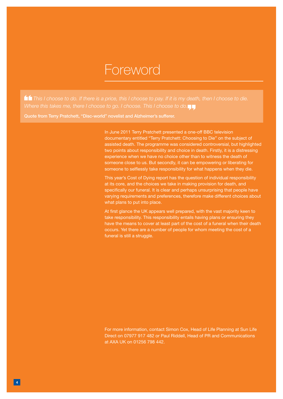## Foreword

 *This I choose to do. If there is a price, this I choose to pay. If it is my death, then I choose to die. Where this takes me, there I choose to go. I choose. This I choose to do.*

Quote from Terry Pratchett, "Disc-world" novelist and Alzheimer's sufferer.

In June 2011 Terry Pratchett presented a one-off BBC television documentary entitled "Terry Pratchett: Choosing to Die" on the subject of assisted death. The programme was considered controversial, but highlighted two points about responsibility and choice in death. Firstly, it is a distressing experience when we have no choice other than to witness the death of someone close to us. But secondly, it can be empowering or liberating for someone to selflessly take responsibility for what happens when they die.

This year's Cost of Dying report has the question of individual responsibility at its core, and the choices we take in making provision for death, and specifically our funeral. It is clear and perhaps unsurprising that people have varying requirements and preferences, therefore make different choices about what plans to put into place.

At first glance the UK appears well prepared, with the vast majority keen to take responsibility. This responsibility entails having plans or ensuring they have the means to cover at least part of the cost of a funeral when their death occurs. Yet there are a number of people for whom meeting the cost of a funeral is still a struggle.

For more information, contact Simon Cox, Head of Life Planning at Sun Life Direct on 07977 917 482 or Paul Riddell, Head of PR and Communications at AXA UK on 01256 798 442.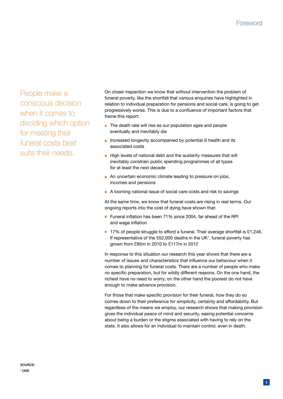## **Foreword**

People make a conscious decision when it comes to deciding which option for meeting their funeral costs best suits their needs.

On closer inspection we know that without intervention the problem of funeral poverty, like the shortfall that various enquiries have highlighted in relation to individual preparation for pensions and social care, is going to get progressively worse. This is due to a confluence of important factors that frame this report:

- The death rate will rise as our population ages and people eventually and inevitably die
- Increased longevity accompanied by potential ill health and its associated costs
- $\blacksquare$  High levels of national debt and the austerity measures that will inevitably constrain public spending programmes of all types for at least the next decade
- An uncertain economic climate leading to pressure on jobs, incomes and pensions
- A looming national issue of social care costs and risk to savings

At the same time, we know that funeral costs are rising in real terms. Our ongoing reports into the cost of dying have shown that:

- Funeral inflation has been 71% since 2004, far ahead of the RPI and wage inflation
- 17% of people struggle to afford a funeral. Their average shortfall is £1,246. If representative of the  $552,000$  deaths in the UK<sup>1</sup>, funeral poverty has grown from £85m in 2010 to £117m in 2012

In response to this situation our research this year shows that there are a number of issues and characteristics that influence our behaviour when it comes to planning for funeral costs. There are a number of people who make no specific preparation, but for wildly different reasons. On the one hand, the richest have no need to worry; on the other hand the poorest do not have enough to make advance provision.

For those that make specific provision for their funeral, how they do so comes down to their preference for simplicity, certainty and affordability. But regardless of the means we employ, our research shows that making provision gives the individual peace of mind and security, easing potential concerns about being a burden or the stigma associated with having to rely on the state. It also allows for an individual to maintain control, even in death.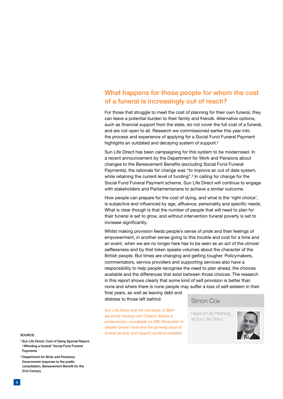## What happens for those people for whom the cost of a funeral is increasingly out of reach?

For those that struggle to meet the cost of planning for their own funeral, they can leave a potential burden to their family and friends. Alternative options, such as financial support from the state, do not cover the full cost of a funeral, and are not open to all. Research we commissioned earlier this year into the process and experience of applying for a Social Fund Funeral Payment highlights an outdated and decaying system of support.<sup>2</sup>

Sun Life Direct has been campaigning for this system to be modernised. In a recent announcement by the Department for Work and Pensions about changes to the Bereavement Benefits (excluding Social Fund Funeral Payments), the rationale for change was "to improve an out of date system, while retaining the current level of funding".<sup>3</sup> In calling for change for the Social Fund Funeral Payment scheme, Sun Life Direct will continue to engage with stakeholders and Parliamentarians to achieve a similar outcome.

How people can prepare for the cost of dying, and what is the 'right choice', is subjective and influenced by age, affluence, personality and specific needs. What is clear though is that the number of people that will need to plan for their funeral is set to grow, and without intervention funeral poverty is set to increase significantly.

Whilst making provision feeds people's sense of pride and their feelings of empowerment, in another sense going to this trouble and cost for a time and an event, when we are no longer here has to be seen as an act of the utmost selflessness and by that token speaks volumes about the character of the British people. But times are changing and getting tougher. Policymakers, commentators, service providers and supporting services also have a responsibility to help people recognise the need to plan ahead, the choices available and the differences that exist between those choices. The research in this report shows clearly that some kind of self provision is better than none and where there is none people may suffer a loss of self-esteem in their

final years, as well as leaving debt and distress to those left behind.

*Sun Life Direct and the University of Bath are jointly hosting with Citizens Advice a parliamentary roundtable on 28th November to debate funeral costs and the growing issue of funeral poverty and support systems available.*

Simon Cox

Head of Life Planning at Sun Life Direct



#### Source:

- <sup>2</sup> Sun Life Direct: Cost of Dying Special Report: "Affording a funeral" Social Fund Funeral Payments
- <sup>3</sup> Department for Work and Pensions: Government response to the public consultation, Bereavement Benefit for the 21st Century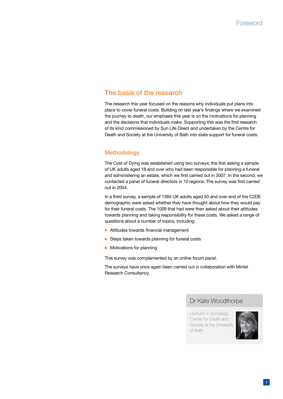## The basis of the research

The research this year focused on the reasons why individuals put plans into place to cover funeral costs. Building on last year's findings where we examined the journey to death, our emphasis this year is on the motivations for planning and the decisions that individuals make. Supporting this was the first research of its kind commissioned by Sun Life Direct and undertaken by the Centre for Death and Society at the University of Bath into state support for funeral costs.

## **Methodology**

The Cost of Dying was established using two surveys; the first asking a sample of UK adults aged 18 and over who had been responsible for planning a funeral and administering an estate, which we first carried out in 2007. In the second, we contacted a panel of funeral directors in 10 regions. The survey was first carried out in 2004.

In a third survey, a sample of 1384 UK adults aged 50 and over and of the C2DE demographic were asked whether they have thought about how they would pay for their funeral costs. The 1009 that had were then asked about their attitudes towards planning and taking responsibility for these costs. We asked a range of questions about a number of topics, including:

- **Attitudes towards financial management**
- Steps taken towards planning for funeral costs
- **Motivations for planning**

This survey was complemented by an online forum panel.

The surveys have once again been carried out in collaboration with Mintel Research Consultancy.

### Dr Kate Woodthorpe

Lecturer in Sociology, Centre for Death and Society at the University of Bath

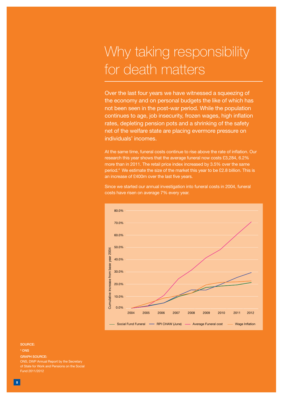# Why taking responsibility for death matters

Over the last four years we have witnessed a squeezing of the economy and on personal budgets the like of which has not been seen in the post-war period. While the population continues to age, job insecurity, frozen wages, high inflation rates, depleting pension pots and a shrinking of the safety net of the welfare state are placing evermore pressure on individuals' incomes.

At the same time, funeral costs continue to rise above the rate of inflation. Our research this year shows that the average funeral now costs £3,284, 6.2% more than in 2011. The retail price index increased by 3.5% over the same period.4 We estimate the size of the market this year to be £2.8 billion. This is an increase of £400m over the last five years.

Since we started our annual investigation into funeral costs in 2004, funeral costs have risen on average 7% every year.



Source:

4 ONS

GRAPH Source:

ONS, DWP Annual Report by the Secretary of State for Work and Pensions on the Social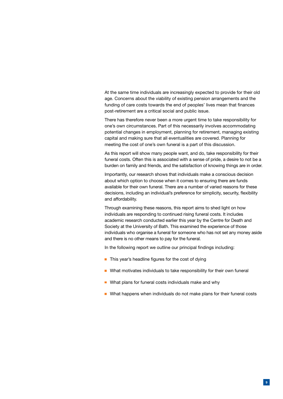At the same time individuals are increasingly expected to provide for their old age. Concerns about the viability of existing pension arrangements and the funding of care costs towards the end of peoples' lives mean that finances post-retirement are a critical social and public issue.

There has therefore never been a more urgent time to take responsibility for one's own circumstances. Part of this necessarily involves accommodating potential changes in employment, planning for retirement, managing existing capital and making sure that all eventualities are covered. Planning for meeting the cost of one's own funeral is a part of this discussion.

As this report will show many people want, and do, take responsibility for their funeral costs. Often this is associated with a sense of pride, a desire to not be a burden on family and friends, and the satisfaction of knowing things are in order.

Importantly, our research shows that individuals make a conscious decision about which option to choose when it comes to ensuring there are funds available for their own funeral. There are a number of varied reasons for these decisions, including an individual's preference for simplicity, security, flexibility and affordability.

Through examining these reasons, this report aims to shed light on how individuals are responding to continued rising funeral costs. It includes academic research conducted earlier this year by the Centre for Death and Society at the University of Bath. This examined the experience of those individuals who organise a funeral for someone who has not set any money aside and there is no other means to pay for the funeral.

In the following report we outline our principal findings including:

- $\blacksquare$  This year's headline figures for the cost of dying
- What motivates individuals to take responsibility for their own funeral
- What plans for funeral costs individuals make and why
- What happens when individuals do not make plans for their funeral costs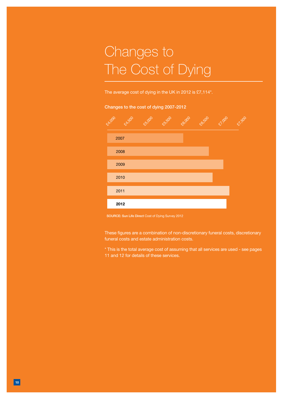# Changes to The Cost of Dying

The average cost of dying in the UK in 2012 is £7,114\*.

#### Changes to the cost of dying 2007-2012



SOURCE: Sun Life Direct Cost of Dying Survey 2012

These figures are a combination of non-discretionary funeral costs, discretionary funeral costs and estate administration costs.

\* This is the total average cost of assuming that all services are used - see pages 11 and 12 for details of these services.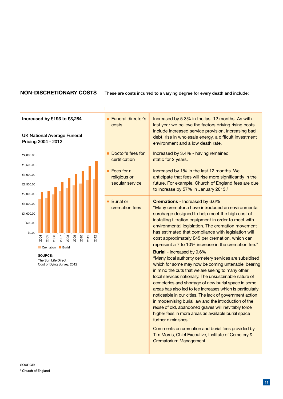#### **Non-discretionary costs**

These are costs incurred to a varying degree for every death and include:

#### **Increased by £193 to £3,284**

UK National Average Funeral Pricing 2004 - 2012



SOURCE: The Sun Life Direct Cost of Dying Survey, 2012

| $\frac{1}{2}$ | Funeral director's<br>costs                                  | Increased by 5.3% in the last 12 months. As with<br>last year we believe the factors driving rising costs<br>include increased service provision, increasing bad<br>debt, rise in wholesale energy, a difficult investment<br>environment and a low death rate.                                                                                                                                                                                                                                                                                                                                                                                                                                                                                                                                                                                                                                                                                                                                                                                                                                                                                                                                                                  |
|---------------|--------------------------------------------------------------|----------------------------------------------------------------------------------------------------------------------------------------------------------------------------------------------------------------------------------------------------------------------------------------------------------------------------------------------------------------------------------------------------------------------------------------------------------------------------------------------------------------------------------------------------------------------------------------------------------------------------------------------------------------------------------------------------------------------------------------------------------------------------------------------------------------------------------------------------------------------------------------------------------------------------------------------------------------------------------------------------------------------------------------------------------------------------------------------------------------------------------------------------------------------------------------------------------------------------------|
|               | Doctor's fees for<br>certification                           | Increased by 3.4% - having remained<br>static for 2 years.                                                                                                                                                                                                                                                                                                                                                                                                                                                                                                                                                                                                                                                                                                                                                                                                                                                                                                                                                                                                                                                                                                                                                                       |
|               | $\blacksquare$ Fees for a<br>religious or<br>secular service | Increased by 1% in the last 12 months. We<br>anticipate that fees will rise more significantly in the<br>future. For example, Church of England fees are due<br>to increase by 57% in January 2013. <sup>5</sup>                                                                                                                                                                                                                                                                                                                                                                                                                                                                                                                                                                                                                                                                                                                                                                                                                                                                                                                                                                                                                 |
|               | <b>Burial or</b><br>cremation fees                           | <b>Cremations</b> - Increased by 6.6%<br>"Many crematoria have introduced an environmental<br>surcharge designed to help meet the high cost of<br>installing filtration equipment in order to meet with<br>environmental legislation. The cremation movement<br>has estimated that compliance with legislation will<br>cost approximately £45 per cremation, which can<br>represent a 7 to 10% increase in the cremation fee."<br><b>Burial</b> - Increased by 9.6%<br>"Many local authority cemetery services are subsidised<br>which for some may now be coming untenable, bearing<br>in mind the cuts that we are seeing to many other<br>local services nationally. The unsustainable nature of<br>cemeteries and shortage of new burial space in some<br>areas has also led to fee increases which is particularly<br>noticeable in our cities. The lack of government action<br>in modernising burial law and the introduction of the<br>reuse of old, abandoned graves will inevitably force<br>higher fees in more areas as available burial space<br>further diminishes."<br>Comments on cremation and burial fees provided by<br>Tim Morris, Chief Executive, Institute of Cemetery &<br><b>Crematorium Management</b> |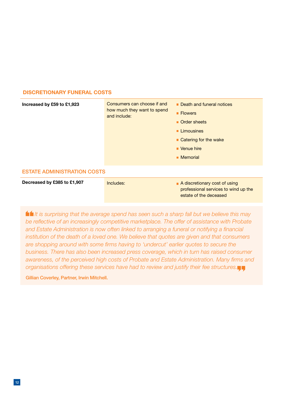#### **Discretionary funeral costs**

| Increased by £59 to £1,923         | Consumers can choose if and<br>how much they want to spend<br>and include: | Death and funeral notices<br>■ Flowers<br>Order sheets<br>$\blacksquare$ Limousines<br>■ Catering for the wake<br>■ Venue hire<br>■ Memorial |  |  |  |
|------------------------------------|----------------------------------------------------------------------------|----------------------------------------------------------------------------------------------------------------------------------------------|--|--|--|
| <b>ESTATE ADMINISTRATION COSTS</b> |                                                                            |                                                                                                                                              |  |  |  |
| Decreased by £385 to £1,907        | Includes:                                                                  | A discretionary cost of using<br>professional services to wind up the<br>estate of the deceased                                              |  |  |  |

 *It is surprising that the average spend has seen such a sharp fall but we believe this may be reflective of an increasingly competitive marketplace. The offer of assistance with Probate and Estate Administration is now often linked to arranging a funeral or notifying a financial institution of the death of a loved one. We believe that quotes are given and that consumers are shopping around with some firms having to 'undercut' earlier quotes to secure the business. There has also been increased press coverage, which in turn has raised consumer awareness, of the perceived high costs of Probate and Estate Administration. Many firms and organisations offering these services have had to review and justify their fee structures.*

Gillian Coverley, Partner, Irwin Mitchell.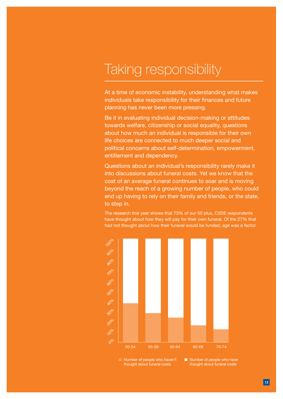## Taking responsibility

At a time of economic instability, understanding what makes individuals take responsibility for their finances and future planning has never been more pressing.

Be it in evaluating individual decision-making or attitudes towards welfare, citizenship or social equality, questions about how much an individual is responsible for their own life choices are connected to much deeper social and political concerns about self-determination, empowerment, entitlement and dependency.

Questions about an individual's responsibility rarely make it into discussions about funeral costs. Yet we know that the cost of an average funeral continues to soar and is moving beyond the reach of a growing number of people, who could end up having to rely on their family and friends, or the state, to step in.

The research this year shows that 73% of our 50 plus, C2DE respondents have thought about how they will pay for their own funeral. Of the 27% that had not thought about how their funeral would be funded, age was a factor.



Number of people who haven't thought about funeral costs

Number of people who have thought about funeral costs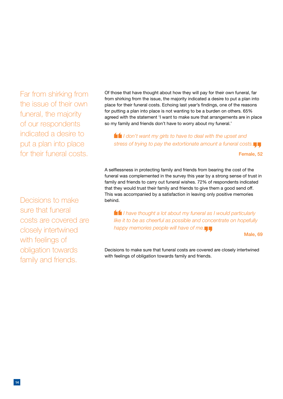Far from shirking from the issue of their own funeral, the majority of our respondents indicated a desire to put a plan into place for their funeral costs.

Decisions to make sure that funeral costs are covered are closely intertwined with feelings of obligation towards family and friends.

Of those that have thought about how they will pay for their own funeral, far from shirking from the issue, the majority indicated a desire to put a plan into place for their funeral costs. Echoing last year's findings, one of the reasons for putting a plan into place is not wanting to be a burden on others. 65% agreed with the statement 'I want to make sure that arrangements are in place so my family and friends don't have to worry about my funeral.'

 *I don't want my girls to have to deal with the upset and stress of trying to pay the extortionate amount a funeral costs.*

Female, 52

A selflessness in protecting family and friends from bearing the cost of the funeral was complemented in the survey this year by a strong sense of trust in family and friends to carry out funeral wishes. 72% of respondents indicated that they would trust their family and friends to give them a good send off. This was accompanied by a satisfaction in leaving only positive memories behind.

 *I have thought a lot about my funeral as I would particularly like it to be as cheerful as possible and concentrate on hopefully happy memories people will have of me.*

Male, 69

Decisions to make sure that funeral costs are covered are closely intertwined with feelings of obligation towards family and friends.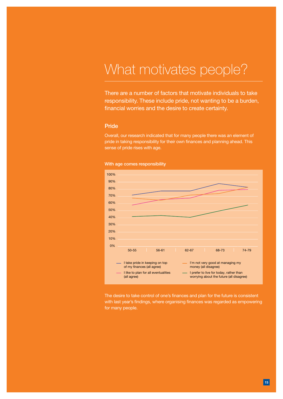## What motivates people?

There are a number of factors that motivate individuals to take responsibility. These include pride, not wanting to be a burden, financial worries and the desire to create certainty.

#### Pride

Overall, our research indicated that for many people there was an element of pride in taking responsibility for their own finances and planning ahead. This sense of pride rises with age.





The desire to take control of one's finances and plan for the future is consistent with last year's findings, where organising finances was regarded as empowering for many people.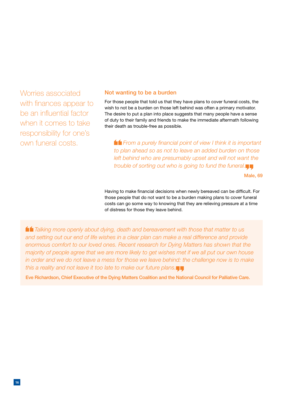Worries associated with finances appear to be an influential factor when it comes to take responsibility for one's own funeral costs.

#### Not wanting to be a burden

For those people that told us that they have plans to cover funeral costs, the wish to not be a burden on those left behind was often a primary motivator. The desire to put a plan into place suggests that many people have a sense of duty to their family and friends to make the immediate aftermath following their death as trouble-free as possible.

 *From a purely financial point of view I think it is important to plan ahead so as not to leave an added burden on those*  left behind who are presumably upset and will not want the *trouble of sorting out who is going to fund the funeral.*

Male, 69

Having to make financial decisions when newly bereaved can be difficult. For those people that do not want to be a burden making plans to cover funeral costs can go some way to knowing that they are relieving pressure at a time of distress for those they leave behind.

 *Talking more openly about dying, death and bereavement with those that matter to us and setting out our end of life wishes in a clear plan can make a real difference and provide enormous comfort to our loved ones. Recent research for Dying Matters has shown that the majority of people agree that we are more likely to get wishes met if we all put our own house*  in order and we do not leave a mess for those we leave behind: the challenge now is to make *this a reality and not leave it too late to make our future plans.*

Eve Richardson, Chief Executive of the Dying Matters Coalition and the National Council for Palliative Care.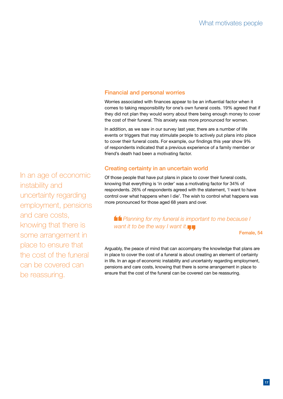## Financial and personal worries

Worries associated with finances appear to be an influential factor when it comes to taking responsibility for one's own funeral costs. 19% agreed that if they did not plan they would worry about there being enough money to cover the cost of their funeral. This anxiety was more pronounced for women.

In addition, as we saw in our survey last year, there are a number of life events or triggers that may stimulate people to actively put plans into place to cover their funeral costs. For example, our findings this year show 9% of respondents indicated that a previous experience of a family member or friend's death had been a motivating factor.

## Creating certainty in an uncertain world

Of those people that have put plans in place to cover their funeral costs, knowing that everything is 'in order' was a motivating factor for 34% of respondents. 26% of respondents agreed with the statement, 'I want to have control over what happens when I die'. The wish to control what happens was more pronounced for those aged 68 years and over.

 *Planning for my funeral is important to me because I want it to be the way I want it.*

Female, 54

Arguably, the peace of mind that can accompany the knowledge that plans are in place to cover the cost of a funeral is about creating an element of certainty in life. In an age of economic instability and uncertainty regarding employment, pensions and care costs, knowing that there is some arrangement in place to ensure that the cost of the funeral can be covered can be reassuring.

In an age of economic instability and uncertainty regarding employment, pensions and care costs, knowing that there is some arrangement in place to ensure that the cost of the funeral can be covered can be reassuring.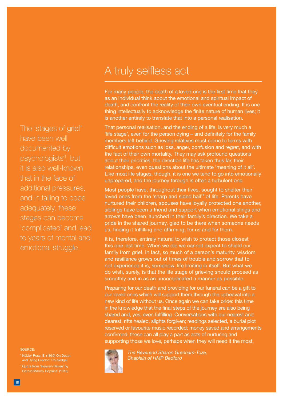## A truly selfless act

For many people, the death of a loved one is the first time that they as an individual think about the emotional and spiritual impact of death, and confront the reality of their own eventual ending. It is one thing intellectually to acknowledge the finite nature of human lives; it is another entirely to translate that into a personal realisation.

That personal realisation, and the ending of a life, is very much a 'life stage', even for the person dying – and definitely for the family members left behind. Grieving relatives must come to terms with difficult emotions such as loss, anger, confusion and regret, and with the fact of their own mortality. They may ask profound questions about their priorities, the direction life has taken thus far, their relationships, even questions about the ultimate 'meaning of it all'. Like most life stages, though, it is one we tend to go into emotionally unprepared, and the journey through is often a turbulent one.

Most people have, throughout their lives, sought to shelter their loved ones from the 'sharp and sided hail'<sup>7</sup> of life. Parents have nurtured their children, spouses have loyally protected one another, siblings have been a friend and support when emotional slings and arrows have been launched in their family's direction. We take a pride in the shared journey, glad to be there when someone needs us, finding it fulfilling and affirming, for us and for them.

It is, therefore, entirely natural to wish to protect those closest this one last time. When we die we cannot expect to shield our family from grief. In fact, so much of a person's maturity, wisdom and resilience grows out of times of trouble and sorrow that to not experience it is, somehow, life limiting in itself. But what we do wish, surely, is that the life stage of grieving should proceed as smoothly and in as an uncomplicated a manner as possible.

Preparing for our death and providing for our funeral can be a gift to our loved ones which will support them through the upheaval into a new kind of life without us. Once again we can take pride: this time in the knowledge that the final steps of the journey are also being shared and, yes, even fulfilling. Conversations with our nearest and dearest, rifts healed, slights forgiven; readings selected, a burial plot reserved or favourite music recorded; money saved and arrangements confirmed, these can all play a part as acts of nurturing and supporting those we love, perhaps when they will need it the most.



*The Reverend Sharon Grenham-Toze, Chaplain of HMP Bedford*

The 'stages of grief' have been well documented by psychologists<sup>6</sup>, but it is also well-known that in the face of additional pressures, and in failing to cope adequately, these stages can become 'complicated' and lead to years of mental and emotional struggle.

#### Source:

<sup>6</sup> Kübler-Ross, E. (1969) On Death and Dying London: Routledge)

Gerard Manley Hopkins' (1918)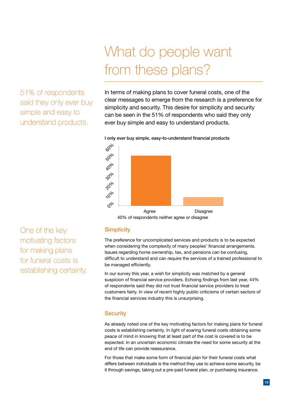## 51% of respondents said they only ever buy simple and easy to understand products.

# What do people want from these plans?

In terms of making plans to cover funeral costs, one of the clear messages to emerge from the research is a preference for simplicity and security. This desire for simplicity and security can be seen in the 51% of respondents who said they only ever buy simple and easy to understand products.





40% of respondents neither agree or disagree

One of the key motivating factors for making plans for funeral costs is establishing certainty.

#### **Simplicity**

The preference for uncomplicated services and products is to be expected when considering the complexity of many peoples' financial arrangements. Issues regarding home ownership, tax, and pensions can be confusing, difficult to understand and can require the services of a trained professional to be managed efficiently.

In our survey this year, a wish for simplicity was matched by a general suspicion of financial service providers. Echoing findings from last year, 44% of respondents said they did not trust financial service providers to treat customers fairly. In view of recent highly public criticisms of certain sectors of the financial services industry this is unsurprising.

## **Security**

As already noted one of the key motivating factors for making plans for funeral costs is establishing certainty. In light of soaring funeral costs obtaining some peace of mind in knowing that at least part of the cost is covered is to be expected. In an uncertain economic climate the need for some security at the end of life can provide reassurance.

For those that make some form of financial plan for their funeral costs what differs between individuals is the method they use to achieve some security, be it through savings, taking out a pre-paid funeral plan, or purchasing insurance.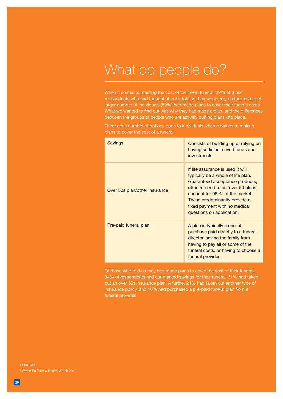## What do people do?

When it comes to meeting the cost of their own funeral, 29% of those respondents who had thought about it told us they would rely on their estate. A larger number of individuals (50%) had made plans to cover their funeral costs. What we wanted to find out was why they had made a plan, and the differences between the groups of people who are actively putting plans into place.

There are a number of options open to individuals when it comes to making plans to cover the cost of a funeral.

| <b>Savings</b>                | Consists of building up or relying on<br>having sufficient saved funds and<br>investments.                                                                                                                                                                                                        |
|-------------------------------|---------------------------------------------------------------------------------------------------------------------------------------------------------------------------------------------------------------------------------------------------------------------------------------------------|
| Over 50s plan/other insurance | If life assurance is used if will<br>typically be a whole of life plan.<br>Guaranteed acceptance products,<br>often referred to as 'over 50 plans',<br>account for 96% <sup>8</sup> of the market.<br>These predominantly provide a<br>fixed payment with no medical<br>questions on application. |
| Pre-paid funeral plan         | A plan is typically a one-off<br>purchase paid directly to a funeral<br>director, saving the family from<br>having to pay all or some of the<br>funeral costs, or having to choose a<br>funeral provider.                                                                                         |

Of those who told us they had made plans to cover the cost of their funeral, 34% of respondents had ear-marked savings for their funeral. 31% had taken out an over 50s insurance plan. A further 24% had taken out another type of insurance policy, and 16% had purchased a pre-paid funeral plan from a funeral provider.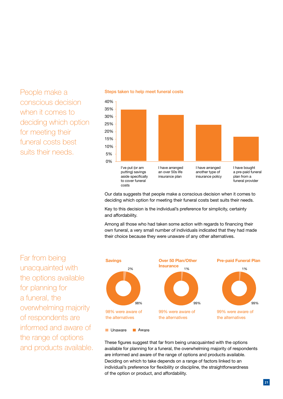People make a conscious decision when it comes to deciding which option for meeting their funeral costs best suits their needs.



#### Steps taken to help meet funeral costs

Our data suggests that people make a conscious decision when it comes to deciding which option for meeting their funeral costs best suits their needs.

Key to this decision is the individual's preference for simplicity, certainty and affordability.

Among all those who had taken some action with regards to financing their own funeral, a very small number of individuals indicated that they had made their choice because they were unaware of any other alternatives.

Far from being **Savings** unacquainted with the options available for planning for a funeral, the overwhelming majority of respondents are informed and aware of the range of options and products available.



These figures suggest that far from being unacquainted with the options available for planning for a funeral, the overwhelming majority of respondents are informed and aware of the range of options and products available. Deciding on which to take depends on a range of factors linked to an individual's preference for flexibility or discipline, the straightforwardness of the option or product, and affordability.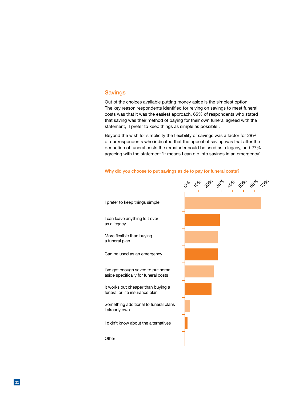#### **Savings**

Out of the choices available putting money aside is the simplest option. The key reason respondents identified for relying on savings to meet funeral costs was that it was the easiest approach. 65% of respondents who stated that saving was their method of paying for their own funeral agreed with the statement, 'I prefer to keep things as simple as possible'.

Beyond the wish for simplicity the flexibility of savings was a factor for 28% of our respondents who indicated that the appeal of saving was that after the deduction of funeral costs the remainder could be used as a legacy, and 27% agreeing with the statement 'It means I can dip into savings in an emergency'.



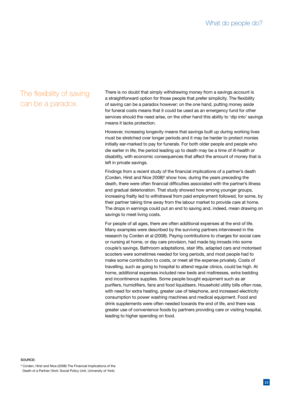## The flexibility of saving can be a paradox.

There is no doubt that simply withdrawing money from a savings account is a straightforward option for those people that prefer simplicity. The flexibility of saving can be a paradox however; on the one hand, putting money aside for funeral costs means that it could be used as an emergency fund for other services should the need arise, on the other hand this ability to 'dip into' savings means it lacks protection.

However, increasing longevity means that savings built up during working lives must be stretched over longer periods and it may be harder to protect monies initially ear-marked to pay for funerals. For both older people and people who die earlier in life, the period leading up to death may be a time of ill-health or disability, with economic consequences that affect the amount of money that is left in private savings.

Findings from a recent study of the financial implications of a partner's death (Corden, Hirst and Nice 2008)<sup>9</sup> show how, during the years preceding the death, there were often financial difficulties associated with the partner's illness and gradual deterioration. That study showed how among younger groups, increasing frailty led to withdrawal from paid employment followed, for some, by their partner taking time away from the labour market to provide care at home. The drops in earnings could put an end to saving and, indeed, mean drawing on savings to meet living costs.

For people of all ages, there are often additional expenses at the end of life. Many examples were described by the surviving partners interviewed in the research by Corden et al (2008). Paying contributions to charges for social care or nursing at home, or day care provision, had made big inroads into some couple's savings. Bathroom adaptations, stair lifts, adapted cars and motorised scooters were sometimes needed for long periods, and most people had to make some contribution to costs, or meet all the expense privately. Costs of travelling, such as going to hospital to attend regular clinics, could be high. At home, additional expenses included new beds and mattresses, extra bedding and incontinence supplies. Some people bought equipment such as air purifiers, humidifiers, fans and food liquidisers. Household utility bills often rose, with need for extra heating, greater use of telephone, and increased electricity consumption to power washing machines and medical equipment. Food and drink supplements were often needed towards the end of life, and there was greater use of convenience foods by partners providing care or visiting hospital, leading to higher spending on food.

#### Source:

<sup>9</sup> Corden, Hirst and Nice (2008) The Financial Implications of the Death of a Partner (York: Social Policy Unit, University of York)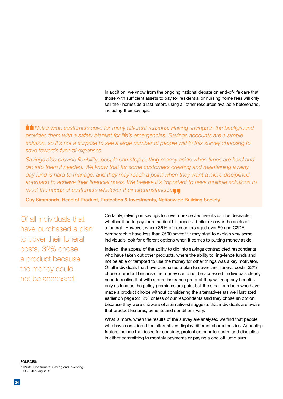In addition, we know from the ongoing national debate on end-of-life care that those with sufficient assets to pay for residential or nursing home fees will only sell their homes as a last resort, using all other resources available beforehand, including their savings.

 *Nationwide customers save for many different reasons. Having savings in the background provides them with a safety blanket for life's emergencies. Savings accounts are a simple solution, so it's not a surprise to see a large number of people within this survey choosing to save towards funeral expenses.* 

*Savings also provide flexibility; people can stop putting money aside when times are hard and dip into them if needed. We know that for some customers creating and maintaining a rainy day fund is hard to manage, and they may reach a point when they want a more disciplined approach to achieve their financial goals. We believe it's important to have multiple solutions to meet the needs of customers whatever their circumstances.*

Guy Simmonds, Head of Product, Protection & Investments, Nationwide Building Society

Of all individuals that have purchased a plan to cover their funeral costs, 32% chose a product because the money could not be accessed.

Certainly, relying on savings to cover unexpected events can be desirable, whether it be to pay for a medical bill, repair a boiler or cover the costs of a funeral. However, where 36% of consumers aged over 50 and C2DE demographic have less than £500 saved<sup>10</sup> it may start to explain why some individuals look for different options when it comes to putting money aside.

Indeed, the appeal of the ability to dip into savings contradicted respondents who have taken out other products, where the ability to ring-fence funds and not be able or tempted to use the money for other things was a key motivator. Of all individuals that have purchased a plan to cover their funeral costs, 32% chose a product because the money could not be accessed. Individuals clearly need to realise that with a pure insurance product they will reap any benefits only as long as the policy premiums are paid, but the small numbers who have made a product choice without considering the alternatives (as we illustrated earlier on page 22, 2% or less of our respondents said they chose an option because they were unaware of alternatives) suggests that individuals are aware that product features, benefits and conditions vary.

What is more, when the results of the survey are analysed we find that people who have considered the alternatives display different characteristics. Appealing factors include the desire for certainty, protection prior to death, and discipline in either committing to monthly payments or paying a one-off lump sum.

Sources: <sup>10</sup> Mintel Consumers, Saving and Investing - UK - January 2012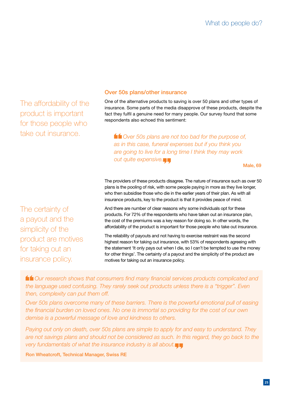The affordability of the product is important for those people who take out insurance.

### Over 50s plans/other insurance

One of the alternative products to saving is over 50 plans and other types of insurance. Some parts of the media disapprove of these products, despite the fact they fulfil a genuine need for many people. Our survey found that some respondents also echoed this sentiment:

*f* Over 50s plans are not too bad for the purpose of, *as in this case, funeral expenses but if you think you are going to live for a long time I think they may work out quite expensive.*

Male, 69

The providers of these products disagree. The nature of insurance such as over 50 plans is the pooling of risk, with some people paying in more as they live longer, who then subsidise those who die in the earlier years of their plan. As with all insurance products, key to the product is that it provides peace of mind.

And there are number of clear reasons why some individuals opt for these products. For 72% of the respondents who have taken out an insurance plan, the cost of the premiums was a key reason for doing so. In other words, the affordability of the product is important for those people who take out insurance.

The reliability of payouts and not having to exercise restraint was the second highest reason for taking out insurance, with 53% of respondents agreeing with the statement 'It only pays out when I die, so I can't be tempted to use the money for other things'. The certainty of a payout and the simplicity of the product are motives for taking out an insurance policy.

 *Our research shows that consumers find many financial services products complicated and the language used confusing. They rarely seek out products unless there is a "trigger". Even then, complexity can put them off.* 

*Over 50s plans overcome many of these barriers. There is the powerful emotional pull of easing the financial burden on loved ones. No one is immortal so providing for the cost of our own demise is a powerful message of love and kindness to others.* 

*Paying out only on death, over 50s plans are simple to apply for and easy to understand. They are not savings plans and should not be considered as such. In this regard, they go back to the very fundamentals of what the insurance industry is all about.*

Ron Wheatcroft, Technical Manager, Swiss RE

The certainty of a payout and the simplicity of the product are motives for taking out an insurance policy.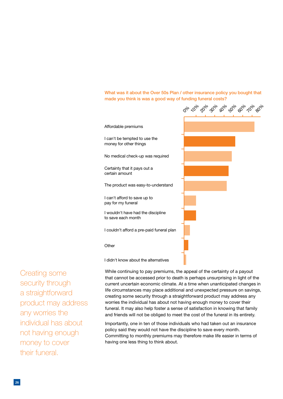What was it about the Over 50s Plan / other insurance policy you bought that made you think is was a good way of funding funeral costs?

I can't be tempted to use the money for other things

Certainty that it pays out a

I can't afford to save up to pay for my funeral

to save each month

**Other** 

I wouldn't have had the discipline

I didn't know about the alternatives

certain amount

No medical check-up was required

Affordable premiums



Creating some security through a straightforward product may address any worries the individual has about not having enough money to cover their funeral.

While continuing to pay premiums, the appeal of the certainty of a payout that cannot be accessed prior to death is perhaps unsurprising in light of the current uncertain economic climate. At a time when unanticipated changes in life circumstances may place additional and unexpected pressure on savings, creating some security through a straightforward product may address any worries the individual has about not having enough money to cover their funeral. It may also help foster a sense of satisfaction in knowing that family and friends will not be obliged to meet the cost of the funeral in its entirety.

Importantly, one in ten of those individuals who had taken out an insurance policy said they would not have the discipline to save every month. Committing to monthly premiums may therefore make life easier in terms of having one less thing to think about.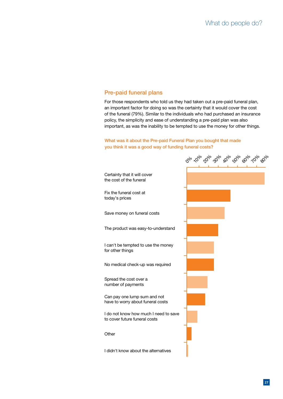## Pre-paid funeral plans

For those respondents who told us they had taken out a pre-paid funeral plan, an important factor for doing so was the certainty that it would cover the cost of the funeral (79%). Similar to the individuals who had purchased an insurance policy, the simplicity and ease of understanding a pre-paid plan was also important, as was the inability to be tempted to use the money for other things.

#### What was it about the Pre-paid Funeral Plan you bought that made you think it was a good way of funding funeral costs?

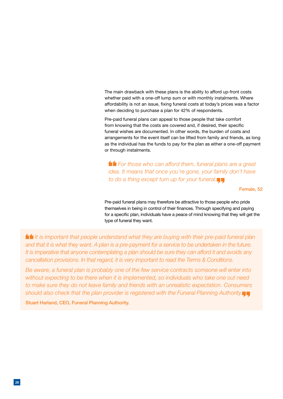The main drawback with these plans is the ability to afford up-front costs whether paid with a one-off lump sum or with monthly instalments. Where affordability is not an issue, fixing funeral costs at today's prices was a factor when deciding to purchase a plan for 42% of respondents.

Pre-paid funeral plans can appeal to those people that take comfort from knowing that the costs are covered and, if desired, their specific funeral wishes are documented. In other words, the burden of costs and arrangements for the event itself can be lifted from family and friends, as long as the individual has the funds to pay for the plan as either a one-off payment or through instalments.

 *For those who can afford them, funeral plans are a great idea. It means that once you're gone, your family don't have to do a thing except turn up for your funeral.*

#### Female, 52

Pre-paid funeral plans may therefore be attractive to those people who pride themselves in being in control of their finances. Through specifying and paying for a specific plan, individuals have a peace of mind knowing that they will get the type of funeral they want.

 *It is important that people understand what they are buying with their pre-paid funeral plan and that it is what they want. A plan is a pre-payment for a service to be undertaken in the future. It is imperative that anyone contemplating a plan should be sure they can afford it and avoids any cancellation provisions. In that regard, it is very important to read the Terms & Conditions.* 

*Be aware, a funeral plan is probably one of the few service contracts someone will enter into without expecting to be there when it is implemented, so individuals who take one out need to make sure they do not leave family and friends with an unrealistic expectation. Consumers should also check that the plan provider is registered with the Funeral Planning Authority.*

Stuart Harland, CEO, Funeral Planning Authority.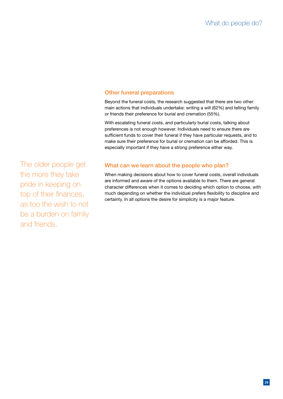## Other funeral preparations

Beyond the funeral costs, the research suggested that there are two other main actions that individuals undertake: writing a will (62%) and telling family or friends their preference for burial and cremation (55%).

With escalating funeral costs, and particularly burial costs, talking about preferences is not enough however. Individuals need to ensure there are sufficient funds to cover their funeral if they have particular requests, and to make sure their preference for burial or cremation can be afforded. This is especially important if they have a strong preference either way.

The older people get the more they take pride in keeping on top of their finances, as too the wish to not be a burden on family and friends.

## What can we learn about the people who plan?

When making decisions about how to cover funeral costs, overall individuals are informed and aware of the options available to them. There are general character differences when it comes to deciding which option to choose, with much depending on whether the individual prefers flexibility to discipline and certainty. In all options the desire for simplicity is a major feature.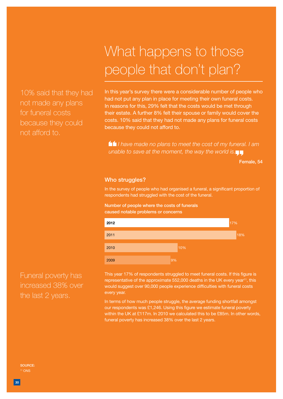10% said that they had not made any plans for funeral costs because they could not afford to.

# What happens to those people that don't plan?

In this year's survey there were a considerable number of people who had not put any plan in place for meeting their own funeral costs. In reasons for this, 29% felt that the costs would be met through their estate. A further 8% felt their spouse or family would cover the costs. 10% said that they had not made any plans for funeral costs because they could not afford to.

 *I have made no plans to meet the cost of my funeral. I am unable to save at the moment, the way the world is.*

Female, 54

#### Who struggles?

In the survey of people who had organised a funeral, a significant proportion of respondents had struggled with the cost of the funeral.

Number of people where the costs of funerals caused notable problems or concerns



This year 17% of respondents struggled to meet funeral costs. If this figure is representative of the approximate  $552,000$  deaths in the UK every year<sup>11</sup>, this would suggest over 90,000 people experience difficulties with funeral costs every year.

In terms of how much people struggle, the average funding shortfall amongst our respondents was £1,246. Using this figure we estimate funeral poverty within the UK at £117m. In 2010 we calculated this to be £85m. In other words, funeral poverty has increased 38% over the last 2 years.

Funeral poverty has increased 38% over the last 2 years.

Source: <sup>11</sup> ONS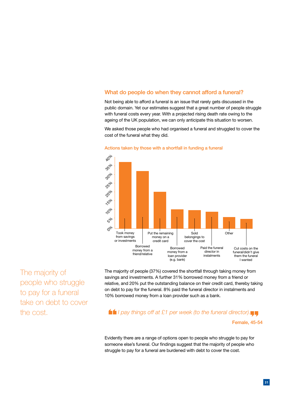## What do people do when they cannot afford a funeral?

Not being able to afford a funeral is an issue that rarely gets discussed in the public domain. Yet our estimates suggest that a great number of people struggle with funeral costs every year. With a projected rising death rate owing to the ageing of the UK population, we can only anticipate this situation to worsen.

We asked those people who had organised a funeral and struggled to cover the cost of the funeral what they did.



#### Actions taken by those with a shortfall in funding a funeral

The majority of people who struggle to pay for a funeral take on debt to cover the cost.

The majority of people (37%) covered the shortfall through taking money from savings and investments. A further 31% borrowed money from a friend or relative, and 20% put the outstanding balance on their credit card, thereby taking on debt to pay for the funeral. 8% paid the funeral director in instalments and 10% borrowed money from a loan provider such as a bank.

*I pay things off at £1 per week (to the funeral director).*

#### Female, 45-54

Evidently there are a range of options open to people who struggle to pay for someone else's funeral. Our findings suggest that the majority of people who struggle to pay for a funeral are burdened with debt to cover the cost.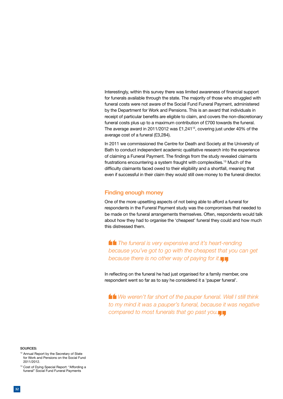Interestingly, within this survey there was limited awareness of financial support for funerals available through the state. The majority of those who struggled with funeral costs were not aware of the Social Fund Funeral Payment, administered by the Department for Work and Pensions. This is an award that individuals in receipt of particular benefits are eligible to claim, and covers the non-discretionary funeral costs plus up to a maximum contribution of £700 towards the funeral. The average award in 2011/2012 was £1,241 $^{\text{12}}$ , covering just under 40% of the average cost of a funeral (£3,284).

In 2011 we commissioned the Centre for Death and Society at the University of Bath to conduct independent academic qualitative research into the experience of claiming a Funeral Payment. The findings from the study revealed claimants frustrations encountering a system fraught with complexities.13 Much of the difficulty claimants faced owed to their eligibility and a shortfall, meaning that even if successful in their claim they would still owe money to the funeral director.

#### Finding enough money

One of the more upsetting aspects of not being able to afford a funeral for respondents in the Funeral Payment study was the compromises that needed to be made on the funeral arrangements themselves. Often, respondents would talk about how they had to organise the 'cheapest' funeral they could and how much this distressed them.

 *The funeral is very expensive and it's heart-rending because you've got to go with the cheapest that you can get because there is no other way of paying for it.*

In reflecting on the funeral he had just organised for a family member, one respondent went so far as to say he considered it a 'pauper funeral'.

 *We weren't far short of the pauper funeral. Well I still think to my mind it was a pauper's funeral, because it was negative compared to most funerals that go past you.*

Sources:

- <sup>12</sup> Annual Report by the Secretary of State for Work and Pensions on the Social Fund 2011/2012.
- <sup>13</sup> Cost of Dying Special Report: "Affording a funeral" Social Fund Funeral Payments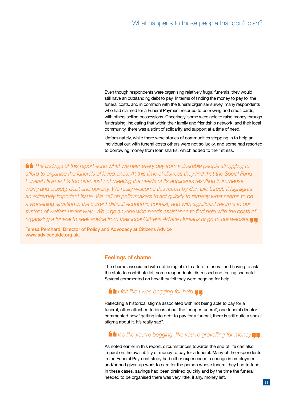Even though respondents were organising relatively frugal funerals, they would still have an outstanding debt to pay. In terms of finding the money to pay for the funeral costs, and in common with the funeral organiser survey, many respondents who had claimed for a Funeral Payment resorted to borrowing and credit cards, with others selling possessions. Cheeringly, some were able to raise money through fundraising, indicating that within their family and friendship network, and their local community, there was a spirit of solidarity and support at a time of need.

Unfortunately, while there were stories of communities stepping in to help an individual out with funeral costs others were not so lucky, and some had resorted to borrowing money from loan sharks, which added to their stress.

 *The findings of this report echo what we hear every day from vulnerable people struggling to afford to organise the funerals of loved ones. At this time of distress they find that the Social Fund Funeral Payment is too often just not meeting the needs of its applicants resulting in immense worry and anxiety, debt and poverty. We really welcome this report by Sun Life Direct. It highlights an extremely important issue. We call on policymakers to act quickly to remedy what seems to be a worsening situation in the current difficult economic context, and with significant reforms to our system of welfare under way. We urge anyone who needs assistance to find help with the costs of organising a funeral to seek advice from their local Citizens Advice Bureaux or go to our website.*

Teresa Perchard, Director of Policy and Advocacy at Citizens Advice www.adviceguide.org.uk.

#### Feelings of shame

The shame associated with not being able to afford a funeral and having to ask the state to contribute left some respondents distressed and feeling shameful. Several commented on how they felt they were begging for help.

### *If* I felt like I was begging for help.

Reflecting a historical stigma associated with not being able to pay for a funeral, often attached to ideas about the 'pauper funeral', one funeral director commented how "getting into debt to pay for a funeral, there is still quite a social stigma about it. It's really sad".

## *It's like you're begging, like you're grovelling for money.*

As noted earlier in this report, circumstances towards the end of life can also impact on the availability of money to pay for a funeral. Many of the respondents in the Funeral Payment study had either experienced a change in employment and/or had given up work to care for the person whose funeral they had to fund. In these cases, savings had been drained quickly and by the time the funeral needed to be organised there was very little, if any, money left.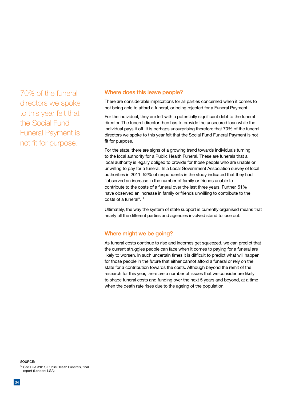70% of the funeral directors we spoke to this year felt that the Social Fund Funeral Payment is not fit for purpose.

#### Where does this leave people?

There are considerable implications for all parties concerned when it comes to not being able to afford a funeral, or being rejected for a Funeral Payment.

For the individual, they are left with a potentially significant debt to the funeral director. The funeral director then has to provide the unsecured loan while the individual pays it off. It is perhaps unsurprising therefore that 70% of the funeral directors we spoke to this year felt that the Social Fund Funeral Payment is not fit for purpose.

For the state, there are signs of a growing trend towards individuals turning to the local authority for a Public Health Funeral. These are funerals that a local authority is legally obliged to provide for those people who are unable or unwilling to pay for a funeral. In a Local Government Association survey of local authorities in 2011, 52% of respondents in the study indicated that they had "observed an increase in the number of family or friends unable to contribute to the costs of a funeral over the last three years. Further, 51% have observed an increase in family or friends unwilling to contribute to the costs of a funeral".14

Ultimately, the way the system of state support is currently organised means that nearly all the different parties and agencies involved stand to lose out.

#### Where might we be going?

As funeral costs continue to rise and incomes get squeezed, we can predict that the current struggles people can face when it comes to paying for a funeral are likely to worsen. In such uncertain times it is difficult to predict what will happen for those people in the future that either cannot afford a funeral or rely on the state for a contribution towards the costs. Although beyond the remit of the research for this year, there are a number of issues that we consider are likely to shape funeral costs and funding over the next 5 years and beyond, at a time when the death rate rises due to the ageing of the population.

Source: <sup>14</sup> See LGA (2011) Public Health Funerals, final report (London: LGA)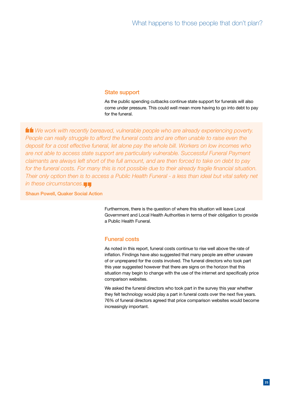#### State support

As the public spending cutbacks continue state support for funerals will also come under pressure. This could well mean more having to go into debt to pay for the funeral.

 *We work with recently bereaved, vulnerable people who are already experiencing poverty. People can really struggle to afford the funeral costs and are often unable to raise even the deposit for a cost effective funeral, let alone pay the whole bill. Workers on low incomes who are not able to access state support are particularly vulnerable. Successful Funeral Payment claimants are always left short of the full amount, and are then forced to take on debt to pay for the funeral costs. For many this is not possible due to their already fragile financial situation. Their only option then is to access a Public Health Funeral - a less than ideal but vital safety net in these circumstances.*

#### Shaun Powell, Quaker Social Action

Furthermore, there is the question of where this situation will leave Local Government and Local Health Authorities in terms of their obligation to provide a Public Health Funeral.

#### Funeral costs

As noted in this report, funeral costs continue to rise well above the rate of inflation. Findings have also suggested that many people are either unaware of or unprepared for the costs involved. The funeral directors who took part this year suggested however that there are signs on the horizon that this situation may begin to change with the use of the internet and specifically price comparison websites.

We asked the funeral directors who took part in the survey this year whether they felt technology would play a part in funeral costs over the next five years. 76% of funeral directors agreed that price comparison websites would become increasingly important.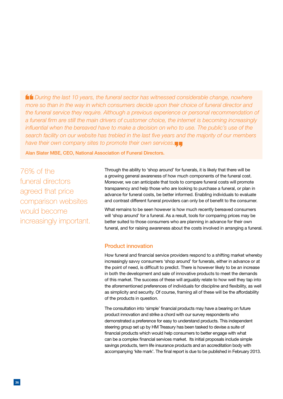*During the last 10 years, the funeral sector has witnessed considerable change, nowhere more so than in the way in which consumers decide upon their choice of funeral director and the funeral service they require. Although a previous experience or personal recommendation of a funeral firm are still the main drivers of customer choice, the internet is becoming increasingly*  influential when the bereaved have to make a decision on who to use. The public's use of the *search facility on our website has trebled in the last five years and the majority of our members have their own company sites to promote their own services.*

Alan Slater MBE, CEO, National Association of Funeral Directors.

76% of the funeral directors agreed that price comparison websites would become increasingly important. Through the ability to 'shop around' for funerals, it is likely that there will be a growing general awareness of how much components of the funeral cost. Moreover, we can anticipate that tools to compare funeral costs will promote transparency and help those who are looking to purchase a funeral, or plan in advance for funeral costs, be better informed. Enabling individuals to evaluate and contrast different funeral providers can only be of benefit to the consumer.

What remains to be seen however is how much recently bereaved consumers will 'shop around' for a funeral. As a result, tools for comparing prices may be better suited to those consumers who are planning in advance for their own funeral, and for raising awareness about the costs involved in arranging a funeral.

#### Product innovation

How funeral and financial service providers respond to a shifting market whereby increasingly savvy consumers 'shop around' for funerals, either in advance or at the point of need, is difficult to predict. There is however likely to be an increase in both the development and sale of innovative products to meet the demands of this market. The success of these will arguably relate to how well they tap into the aforementioned preferences of individuals for discipline and flexibility, as well as simplicity and security. Of course, framing all of these will be the affordability of the products in question.

The consultation into 'simple' financial products may have a bearing on future product innovation and strike a chord with our survey respondents who demonstrated a preference for easy to understand products. This independent steering group set up by HM Treasury has been tasked to devise a suite of financial products which would help consumers to better engage with what can be a complex financial services market. Its initial proposals include simple savings products, term life insurance products and an accreditation body with accompanying 'kite mark'. The final report is due to be published in February 2013.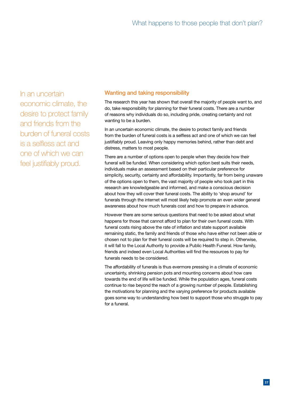In an uncertain economic climate, the desire to protect family and friends from the burden of funeral costs is a selfless act and one of which we can feel justifiably proud.

### Wanting and taking responsibility

The research this year has shown that overall the majority of people want to, and do, take responsibility for planning for their funeral costs. There are a number of reasons why individuals do so, including pride, creating certainty and not wanting to be a burden.

In an uncertain economic climate, the desire to protect family and friends from the burden of funeral costs is a selfless act and one of which we can feel justifiably proud. Leaving only happy memories behind, rather than debt and distress, matters to most people.

There are a number of options open to people when they decide how their funeral will be funded. When considering which option best suits their needs, individuals make an assessment based on their particular preference for simplicity, security, certainty and affordability. Importantly, far from being unaware of the options open to them, the vast majority of people who took part in this research are knowledgeable and informed, and make a conscious decision about how they will cover their funeral costs. The ability to 'shop around' for funerals through the internet will most likely help promote an even wider general awareness about how much funerals cost and how to prepare in advance.

However there are some serious questions that need to be asked about what happens for those that cannot afford to plan for their own funeral costs. With funeral costs rising above the rate of inflation and state support available remaining static, the family and friends of those who have either not been able or chosen not to plan for their funeral costs will be required to step in. Otherwise, it will fall to the Local Authority to provide a Public Health Funeral. How family, friends and indeed even Local Authorities will find the resources to pay for funerals needs to be considered.

The affordability of funerals is thus evermore pressing in a climate of economic uncertainty, shrinking pension pots and mounting concerns about how care towards the end of life will be funded. While the population ages, funeral costs continue to rise beyond the reach of a growing number of people. Establishing the motivations for planning and the varying preference for products available goes some way to understanding how best to support those who struggle to pay for a funeral.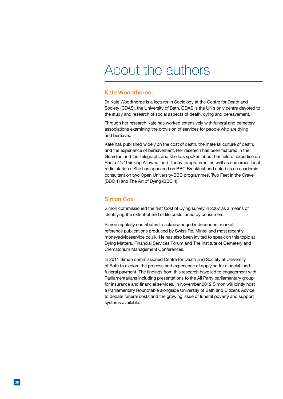## About the authors

#### Kate Woodthorpe

Dr Kate Woodthorpe is a lecturer in Sociology at the Centre for Death and Society (CDAS), the University of Bath. CDAS is the UK's only centre devoted to the study and research of social aspects of death, dying and bereavement.

Through her research Kate has worked extensively with funeral and cemetery associations examining the provision of services for people who are dying and bereaved.

Kate has published widely on the cost of death, the material culture of death, and the experience of bereavement. Her research has been featured in the Guardian and the Telegraph, and she has spoken about her field of expertise on Radio 4's 'Thinking Allowed' and 'Today' programme, as well as numerous local radio stations. She has appeared on BBC Breakfast and acted as an academic consultant on two Open University/BBC programmes, Two Feet in the Grave (BBC 1) and The Art of Dying (BBC 4).

#### Simon Cox

Simon commissioned the first Cost of Dying survey in 2007 as a means of identifying the extent of end of life costs faced by consumers.

Simon regularly contributes to acknowledged independent market reference publications produced by Swiss Re, Mintel and most recently moneyadviceservice.co.uk. He has also been invited to speak on this topic at Dying Matters, Financial Services Forum and The Institute of Cemetery and Crematorium Management Conferences.

In 2011 Simon commissioned Centre for Death and Society at University of Bath to explore the process and experience of applying for a social fund funeral payment. The findings from this research have led to engagement with Parliamentarians including presentations to the All Party parliamentary group for insurance and financial services. In November 2012 Simon will jointly host a Parliamentary Roundtable alongside University of Bath and Citizens Advice to debate funeral costs and the growing issue of funeral poverty and support systems available.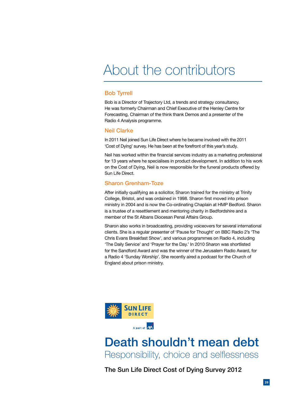# About the contributors

### Bob Tyrrell

Bob is a Director of Trajectory Ltd, a trends and strategy consultancy. He was formerly Chairman and Chief Executive of the Henley Centre for Forecasting, Chairman of the think thank Demos and a presenter of the Radio 4 Analysis programme.

#### Neil Clarke

In 2011 Neil joined Sun Life Direct where he became involved with the 2011 'Cost of Dying' survey. He has been at the forefront of this year's study.

Neil has worked within the financial services industry as a marketing professional for 13 years where he specialises in product development. In addition to his work on the Cost of Dying, Neil is now responsible for the funeral products offered by Sun Life Direct.

#### Sharon Grenham-Toze

After initially qualifying as a solicitor, Sharon trained for the ministry at Trinity College, Bristol, and was ordained in 1998. Sharon first moved into prison ministry in 2004 and is now the Co-ordinating Chaplain at HMP Bedford. Sharon is a trustee of a resettlement and mentoring charity in Bedfordshire and a member of the St Albans Diocesan Penal Affairs Group.

Sharon also works in broadcasting, providing voiceovers for several international clients. She is a regular presenter of 'Pause for Thought' on BBC Radio 2's 'The Chris Evans Breakfast Show', and various programmes on Radio 4, including 'The Daily Service' and 'Prayer for the Day.' In 2010 Sharon was shortlisted for the Sandford Award and was the winner of the Jerusalem Radio Award, for a Radio 4 'Sunday Worship'. She recently aired a podcast for the Church of England about prison ministry.



## Death shouldn't mean debt Responsibility, choice and selflessness

The Sun Life Direct Cost of Dying Survey 2012